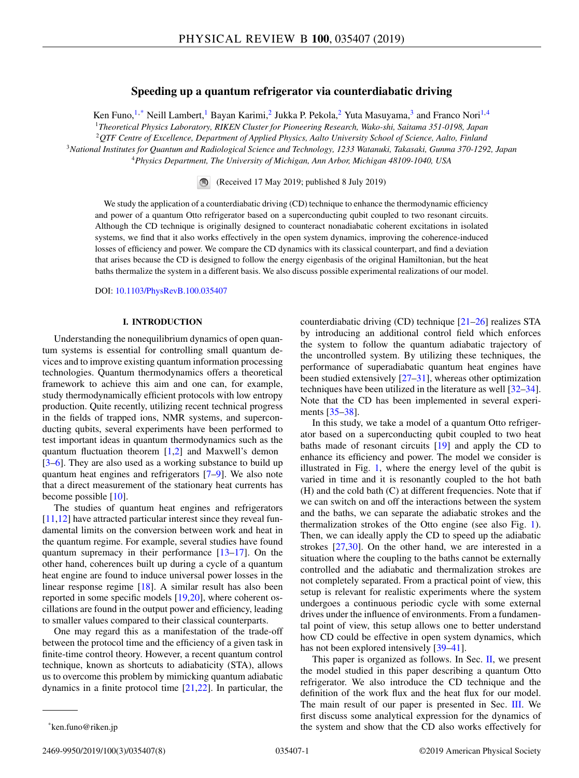# **Speeding up a quantum refrigerator via counterdiabatic driving**

Ken Funo,<sup>1,\*</sup> Neill Lambert,<sup>1</sup> Bayan Karimi,<sup>2</sup> Jukka P. Pekola,<sup>2</sup> Yuta Masuyama,<sup>3</sup> and Franco Nori<sup>1,4</sup> *Theoretical Physics Laboratory, RIKEN Cluster for Pioneering Research, Wako-shi, Saitama 351-0198, Japan QTF Centre of Excellence, Department of Applied Physics, Aalto University School of Science, Aalto, Finland National Institutes for Quantum and Radiological Science and Technology, 1233 Watanuki, Takasaki, Gunma 370-1292, Japan*

<sup>4</sup>*Physics Department, The University of Michigan, Ann Arbor, Michigan 48109-1040, USA*

(Received 17 May 2019; published 8 July 2019)

We study the application of a counterdiabatic driving (CD) technique to enhance the thermodynamic efficiency and power of a quantum Otto refrigerator based on a superconducting qubit coupled to two resonant circuits. Although the CD technique is originally designed to counteract nonadiabatic coherent excitations in isolated systems, we find that it also works effectively in the open system dynamics, improving the coherence-induced losses of efficiency and power. We compare the CD dynamics with its classical counterpart, and find a deviation that arises because the CD is designed to follow the energy eigenbasis of the original Hamiltonian, but the heat baths thermalize the system in a different basis. We also discuss possible experimental realizations of our model.

DOI: [10.1103/PhysRevB.100.035407](https://doi.org/10.1103/PhysRevB.100.035407)

# **I. INTRODUCTION**

Understanding the nonequilibrium dynamics of open quantum systems is essential for controlling small quantum devices and to improve existing quantum information processing technologies. Quantum thermodynamics offers a theoretical framework to achieve this aim and one can, for example, study thermodynamically efficient protocols with low entropy production. Quite recently, utilizing recent technical progress in the fields of trapped ions, NMR systems, and superconducting qubits, several experiments have been performed to test important ideas in quantum thermodynamics such as the quantum fluctuation theorem  $[1,2]$  and Maxwell's demon [\[3–6\]](#page-6-0). They are also used as a working substance to build up quantum heat engines and refrigerators [\[7–9\]](#page-6-0). We also note that a direct measurement of the stationary heat currents has become possible [\[10\]](#page-6-0).

The studies of quantum heat engines and refrigerators [\[11,12\]](#page-6-0) have attracted particular interest since they reveal fundamental limits on the conversion between work and heat in the quantum regime. For example, several studies have found quantum supremacy in their performance  $[13-17]$ . On the other hand, coherences built up during a cycle of a quantum heat engine are found to induce universal power losses in the linear response regime [\[18\]](#page-6-0). A similar result has also been reported in some specific models [\[19,20\]](#page-6-0), where coherent oscillations are found in the output power and efficiency, leading to smaller values compared to their classical counterparts.

One may regard this as a manifestation of the trade-off between the protocol time and the efficiency of a given task in finite-time control theory. However, a recent quantum control technique, known as shortcuts to adiabaticity (STA), allows us to overcome this problem by mimicking quantum adiabatic dynamics in a finite protocol time  $[21,22]$ . In particular, the

counterdiabatic driving (CD) technique [\[21–26\]](#page-6-0) realizes STA by introducing an additional control field which enforces the system to follow the quantum adiabatic trajectory of the uncontrolled system. By utilizing these techniques, the performance of superadiabatic quantum heat engines have been studied extensively [\[27–31\]](#page-6-0), whereas other optimization techniques have been utilized in the literature as well [\[32–34\]](#page-6-0). Note that the CD has been implemented in several experiments [\[35–](#page-6-0)[38\]](#page-7-0).

In this study, we take a model of a quantum Otto refrigerator based on a superconducting qubit coupled to two heat baths made of resonant circuits [\[19\]](#page-6-0) and apply the CD to enhance its efficiency and power. The model we consider is illustrated in Fig. [1,](#page-1-0) where the energy level of the qubit is varied in time and it is resonantly coupled to the hot bath (H) and the cold bath (C) at different frequencies. Note that if we can switch on and off the interactions between the system and the baths, we can separate the adiabatic strokes and the thermalization strokes of the Otto engine (see also Fig. [1\)](#page-1-0). Then, we can ideally apply the CD to speed up the adiabatic strokes [\[27,30\]](#page-6-0). On the other hand, we are interested in a situation where the coupling to the baths cannot be externally controlled and the adiabatic and thermalization strokes are not completely separated. From a practical point of view, this setup is relevant for realistic experiments where the system undergoes a continuous periodic cycle with some external drives under the influence of environments. From a fundamental point of view, this setup allows one to better understand how CD could be effective in open system dynamics, which has not been explored intensively [\[39–41\]](#page-7-0).

This paper is organized as follows. In Sec.  $II$ , we present the model studied in this paper describing a quantum Otto refrigerator. We also introduce the CD technique and the definition of the work flux and the heat flux for our model. The main result of our paper is presented in Sec. [III.](#page-3-0) We first discuss some analytical expression for the dynamics of the system and show that the CD also works effectively for

<sup>\*</sup>ken.funo@riken.jp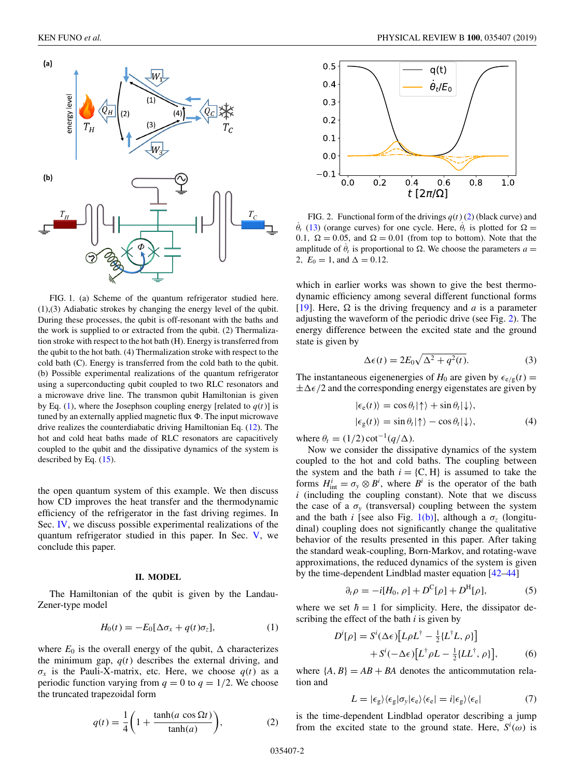<span id="page-1-0"></span>

FIG. 1. (a) Scheme of the quantum refrigerator studied here. (1),(3) Adiabatic strokes by changing the energy level of the qubit. During these processes, the qubit is off-resonant with the baths and the work is supplied to or extracted from the qubit. (2) Thermalization stroke with respect to the hot bath (H). Energy is transferred from the qubit to the hot bath. (4) Thermalization stroke with respect to the cold bath (C). Energy is transferred from the cold bath to the qubit. (b) Possible experimental realizations of the quantum refrigerator using a superconducting qubit coupled to two RLC resonators and a microwave drive line. The transmon qubit Hamiltonian is given by Eq. (1), where the Josephson coupling energy [related to  $q(t)$ ] is tuned by an externally applied magnetic flux  $\Phi$ . The input microwave drive realizes the counterdiabatic driving Hamiltonian Eq. [\(12\)](#page-2-0). The hot and cold heat baths made of RLC resonators are capacitively coupled to the qubit and the dissipative dynamics of the system is described by Eq. [\(15\)](#page-2-0).

the open quantum system of this example. We then discuss how CD improves the heat transfer and the thermodynamic efficiency of the refrigerator in the fast driving regimes. In Sec. [IV,](#page-5-0) we discuss possible experimental realizations of the quantum refrigerator studied in this paper. In Sec. [V,](#page-5-0) we conclude this paper.

### **II. MODEL**

The Hamiltonian of the qubit is given by the Landau-Zener-type model

$$
H_0(t) = -E_0[\Delta \sigma_x + q(t)\sigma_z], \tag{1}
$$

where  $E_0$  is the overall energy of the qubit,  $\Delta$  characterizes the minimum gap,  $q(t)$  describes the external driving, and  $\sigma_x$  is the Pauli-X-matrix, etc. Here, we choose  $q(t)$  as a periodic function varying from  $q = 0$  to  $q = 1/2$ . We choose the truncated trapezoidal form

$$
q(t) = \frac{1}{4} \left( 1 + \frac{\tanh(a \cos \Omega t)}{\tanh(a)} \right),\tag{2}
$$



FIG. 2. Functional form of the drivings  $q(t)$  (2) (black curve) and  $\dot{\theta}_t$  [\(13\)](#page-2-0) (orange curves) for one cycle. Here,  $\dot{\theta}_t$  is plotted for  $\Omega =$ 0.1,  $\Omega = 0.05$ , and  $\Omega = 0.01$  (from top to bottom). Note that the amplitude of  $\dot{\theta}_t$  is proportional to  $\Omega$ . We choose the parameters  $a =$ 2,  $E_0 = 1$ , and  $\Delta = 0.12$ .

which in earlier works was shown to give the best thermodynamic efficiency among several different functional forms [\[19\]](#page-6-0). Here,  $\Omega$  is the driving frequency and *a* is a parameter adjusting the waveform of the periodic drive (see Fig. 2). The energy difference between the excited state and the ground state is given by

$$
\Delta \epsilon(t) = 2E_0 \sqrt{\Delta^2 + q^2(t)}.
$$
 (3)

The instantaneous eigenenergies of  $H_0$  are given by  $\epsilon_{e/g}(t)$  =  $\pm\Delta\epsilon/2$  and the corresponding energy eigenstates are given by

$$
|\epsilon_{e}(t)\rangle = \cos\theta_{t}|\uparrow\rangle + \sin\theta_{t}|\downarrow\rangle, |\epsilon_{g}(t)\rangle = \sin\theta_{t}|\uparrow\rangle - \cos\theta_{t}|\downarrow\rangle, \tag{4}
$$

where  $\theta_t = (1/2) \cot^{-1}(q/\Delta)$ .

Now we consider the dissipative dynamics of the system coupled to the hot and cold baths. The coupling between the system and the bath  $i = \{C, H\}$  is assumed to take the forms  $H_{int}^{i} = \sigma_y \otimes B^i$ , where  $B^i$  is the operator of the bath *i* (including the coupling constant). Note that we discuss the case of a  $\sigma_y$  (transversal) coupling between the system and the bath *i* [see also Fig. 1(b)], although a  $\sigma$ <sub>z</sub> (longitudinal) coupling does not significantly change the qualitative behavior of the results presented in this paper. After taking the standard weak-coupling, Born-Markov, and rotating-wave approximations, the reduced dynamics of the system is given by the time-dependent Lindblad master equation [\[42–44\]](#page-7-0)

$$
\partial_t \rho = -i[H_0, \rho] + D^C[\rho] + D^H[\rho], \tag{5}
$$

where we set  $\hbar = 1$  for simplicity. Here, the dissipator describing the effect of the bath *i* is given by

$$
D^{i}[\rho] = S^{i}(\Delta \epsilon) [L\rho L^{\dagger} - \frac{1}{2} \{L^{\dagger}L, \rho\}]
$$
  
+ 
$$
S^{i}(-\Delta \epsilon) [L^{\dagger} \rho L - \frac{1}{2} \{L L^{\dagger}, \rho\}],
$$
 (6)

where  ${A, B} = AB + BA$  denotes the anticommutation relation and

$$
L = |\epsilon_{g}\rangle\langle\epsilon_{g}|\sigma_{y}|\epsilon_{e}\rangle\langle\epsilon_{e}| = i|\epsilon_{g}\rangle\langle\epsilon_{e}| \tag{7}
$$

is the time-dependent Lindblad operator describing a jump from the excited state to the ground state. Here,  $S^i(\omega)$  is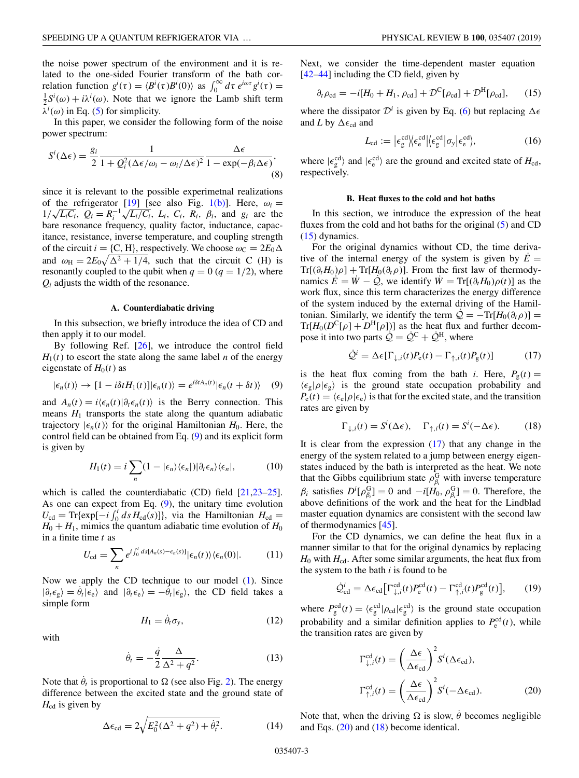<span id="page-2-0"></span>the noise power spectrum of the environment and it is related to the one-sided Fourier transform of the bath correlation function  $g^i(\tau) = \langle B^i(\tau)B^i(0) \rangle$  as  $\int_0^\infty d\tau \, e^{i\omega \tau} g^i(\tau) =$  $\frac{1}{2}S^{i}(\omega) + i\lambda^{i}(\omega)$ . Note that we ignore the Lamb shift term  $\lambda^i(\omega)$  in Eq. [\(5\)](#page-1-0) for simplicity.

In this paper, we consider the following form of the noise power spectrum:

$$
S^{i}(\Delta \epsilon) = \frac{g_{i}}{2} \frac{1}{1 + Q_{i}^{2} (\Delta \epsilon / \omega_{i} - \omega_{i} / \Delta \epsilon)^{2}} \frac{\Delta \epsilon}{1 - \exp(-\beta_{i} \Delta \epsilon)},
$$
\n(8)

since it is relevant to the possible experimetnal realizations of the refrigerator [\[19\]](#page-6-0) [see also Fig. [1\(b\)\]](#page-1-0). Here,  $\omega_i =$ of the reingerator [19] (see also rig. 1(b)]. Here,  $\omega_i = 1/\sqrt{L_iC_i}$ ,  $Q_i = R_i^{-1}\sqrt{L_i/C_i}$ ,  $L_i$ ,  $C_i$ ,  $R_i$ ,  $\beta_i$ , and  $g_i$  are the bare resonance frequency, quality factor, inductance, capacitance, resistance, inverse temperature, and coupling strength of the circuit  $i = \{C, H\}$ , respectively. We choose  $\omega_C = 2E_0 \Delta$ and  $\omega_H = 2E_0 \sqrt{\Delta^2 + 1/4}$ , such that the circuit C (H) is resonantly coupled to the qubit when  $q = 0$  ( $q = 1/2$ ), where *Qi* adjusts the width of the resonance.

#### **A. Counterdiabatic driving**

In this subsection, we briefly introduce the idea of CD and then apply it to our model.

By following Ref. [\[26\]](#page-6-0), we introduce the control field  $H_1(t)$  to escort the state along the same label *n* of the energy eigenstate of  $H<sub>0</sub>(t)$  as

$$
|\epsilon_n(t)\rangle \to [1 - i\delta t H_1(t)] |\epsilon_n(t)\rangle = e^{i\delta t A_n(t)} |\epsilon_n(t + \delta t)\rangle \quad (9)
$$

and  $A_n(t) = i \langle \epsilon_n(t) | \partial_t \epsilon_n(t) \rangle$  is the Berry connection. This means  $H_1$  transports the state along the quantum adiabatic trajectory  $|\epsilon_n(t)\rangle$  for the original Hamiltonian  $H_0$ . Here, the control field can be obtained from Eq. (9) and its explicit form is given by

$$
H_1(t) = i \sum_{n} (1 - |\epsilon_n\rangle\langle\epsilon_n|) |\partial_t \epsilon_n\rangle\langle\epsilon_n|,
$$
 (10)

which is called the counterdiabatic (CD) field  $[21,23-25]$ . As one can expect from Eq.  $(9)$ , the unitary time evolution  $U_{\text{cd}} = \text{Tr}\{\exp[-i\int_0^t ds H_{\text{cd}}(s)]\},\$  via the Hamiltonian  $H_{\text{cd}} =$  $H_0 + H_1$ , mimics the quantum adiabatic time evolution of  $H_0$ in a finite time *t* as

$$
U_{\rm cd} = \sum_{n} e^{i \int_0^t ds [A_n(s) - \epsilon_n(s)]} |\epsilon_n(t)\rangle \langle \epsilon_n(0)|. \tag{11}
$$

Now we apply the CD technique to our model [\(1\)](#page-1-0). Since  $|\partial_t \epsilon_g\rangle = \dot{\theta}_t |\epsilon_e\rangle$  and  $|\partial_t \epsilon_e\rangle = -\dot{\theta}_t |\epsilon_g\rangle$ , the CD field takes a simple form

$$
H_1 = \dot{\theta}_t \sigma_y,\tag{12}
$$

with

$$
\dot{\theta}_t = -\frac{\dot{q}}{2} \frac{\Delta}{\Delta^2 + q^2}.
$$
\n(13)

Note that  $\dot{\theta}_t$  is proportional to  $\Omega$  (see also Fig. [2\)](#page-1-0). The energy difference between the excited state and the ground state of  $H_{\rm cd}$  is given by

$$
\Delta \epsilon_{\rm cd} = 2\sqrt{E_0^2(\Delta^2 + q^2) + \dot{\theta}_t^2}.\tag{14}
$$

Next, we consider the time-dependent master equation  $[42-44]$  including the CD field, given by

$$
\partial_t \rho_{\rm cd} = -i[H_0 + H_1, \rho_{\rm cd}] + \mathcal{D}^{\rm C}[\rho_{\rm cd}] + \mathcal{D}^{\rm H}[\rho_{\rm cd}], \qquad (15)
$$

where the dissipator  $\mathcal{D}^i$  is given by Eq. [\(6\)](#page-1-0) but replacing  $\Delta \epsilon$ and *L* by  $\Delta \epsilon_{cd}$  and

$$
L_{\rm cd} := \left| \epsilon_{\rm g}^{\rm cd} \right| \left\langle \epsilon_{\rm e}^{\rm cd} \right| \left\langle \epsilon_{\rm g}^{\rm cd} \right| \sigma_{\rm y} \left| \epsilon_{\rm e}^{\rm cd} \right\rangle, \tag{16}
$$

where  $|\epsilon_{\rm g}^{\rm cd}\rangle$  and  $|\epsilon_{\rm e}^{\rm cd}\rangle$  are the ground and excited state of  $H_{\rm cd}$ , respectively.

#### **B. Heat fluxes to the cold and hot baths**

In this section, we introduce the expression of the heat fluxes from the cold and hot baths for the original  $(5)$  and CD (15) dynamics.

For the original dynamics without CD, the time derivative of the internal energy of the system is given by  $E =$  $Tr[(\partial_t H_0)\rho] + Tr[H_0(\partial_t \rho)]$ . From the first law of thermodynamics  $\dot{E} = \dot{W} - \dot{Q}$ , we identify  $\dot{W} = \text{Tr}[(\partial_t H_0) \rho(t)]$  as the work flux, since this term characterizes the energy difference of the system induced by the external driving of the Hamiltonian. Similarly, we identify the term  $\dot{Q} = -\text{Tr}[H_0(\partial_t \rho)] =$  $Tr[H_0(D^C[\rho] + D^H[\rho])]$  as the heat flux and further decompose it into two parts  $\mathcal{Q} = \mathcal{Q}^C + \mathcal{Q}^H$ , where

$$
\dot{\mathcal{Q}}^i = \Delta \epsilon [\Gamma_{\downarrow,i}(t) P_{\rm e}(t) - \Gamma_{\uparrow,i}(t) P_{\rm g}(t)] \tag{17}
$$

is the heat flux coming from the bath *i*. Here,  $P_g(t) =$  $\langle \epsilon_g | \rho | \epsilon_g \rangle$  is the ground state occupation probability and  $P_e(t) = \langle \epsilon_e | \rho | \epsilon_e \rangle$  is that for the excited state, and the transition rates are given by

$$
\Gamma_{\downarrow,i}(t) = S^i(\Delta \epsilon), \quad \Gamma_{\uparrow,i}(t) = S^i(-\Delta \epsilon). \tag{18}
$$

It is clear from the expression  $(17)$  that any change in the energy of the system related to a jump between energy eigenstates induced by the bath is interpreted as the heat. We note that the Gibbs equilibrium state  $\rho_{\beta_i}^G$  with inverse temperature  $\beta_i$  satisfies  $D^i[\rho_{\beta_i}^G] = 0$  and  $-i[H_0, \rho_{\beta_i}^G] = 0$ . Therefore, the above definitions of the work and the heat for the Lindblad master equation dynamics are consistent with the second law of thermodynamics [\[45\]](#page-7-0).

For the CD dynamics, we can define the heat flux in a manner similar to that for the original dynamics by replacing  $H_0$  with  $H_{cd}$ . After some similar arguments, the heat flux from the system to the bath *i* is found to be

$$
\dot{\mathcal{Q}}_{\text{cd}}^{i} = \Delta \epsilon_{\text{cd}} \big[ \Gamma_{\downarrow,i}^{\text{cd}}(t) P_{\text{e}}^{\text{cd}}(t) - \Gamma_{\uparrow,i}^{\text{cd}}(t) P_{\text{g}}^{\text{cd}}(t) \big],\tag{19}
$$

where  $P_g^{\text{cd}}(t) = \langle \epsilon_g^{\text{cd}} | \rho_{\text{cd}} | \epsilon_g^{\text{cd}} \rangle$  is the ground state occupation probability and a similar definition applies to  $P_e^{\text{cd}}(t)$ , while the transition rates are given by

$$
\Gamma_{\downarrow,i}^{\text{cd}}(t) = \left(\frac{\Delta \epsilon}{\Delta \epsilon_{\text{cd}}}\right)^2 S^i(\Delta \epsilon_{\text{cd}}),
$$

$$
\Gamma_{\uparrow,i}^{\text{cd}}(t) = \left(\frac{\Delta \epsilon}{\Delta \epsilon_{\text{cd}}}\right)^2 S^i(-\Delta \epsilon_{\text{cd}}).
$$
(20)

Note that, when the driving  $\Omega$  is slow,  $\dot{\theta}$  becomes negligible and Eqs.  $(20)$  and  $(18)$  become identical.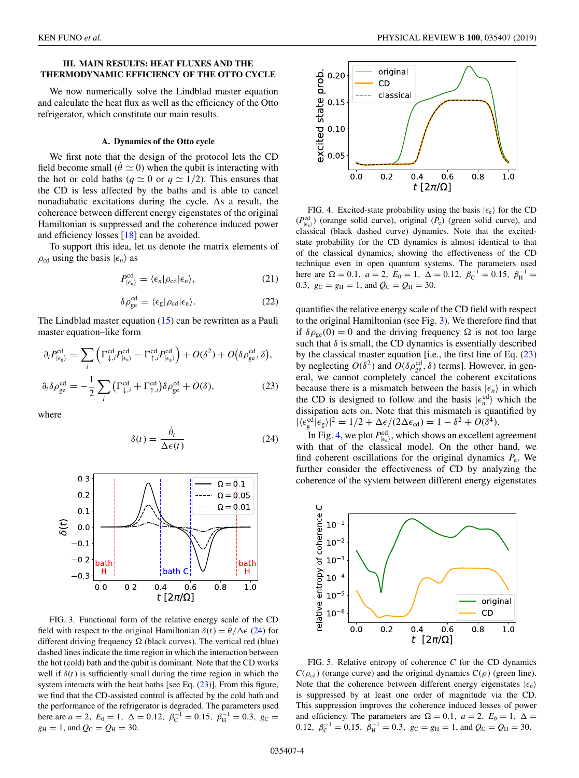# <span id="page-3-0"></span>**III. MAIN RESULTS: HEAT FLUXES AND THE THERMODYNAMIC EFFICIENCY OF THE OTTO CYCLE**

We now numerically solve the Lindblad master equation and calculate the heat flux as well as the efficiency of the Otto refrigerator, which constitute our main results.

#### **A. Dynamics of the Otto cycle**

We first note that the design of the protocol lets the CD field become small ( $\dot{\theta} \simeq 0$ ) when the qubit is interacting with the hot or cold baths ( $q \approx 0$  or  $q \approx 1/2$ ). This ensures that the CD is less affected by the baths and is able to cancel nonadiabatic excitations during the cycle. As a result, the coherence between different energy eigenstates of the original Hamiltonian is suppressed and the coherence induced power and efficiency losses [\[18\]](#page-6-0) can be avoided.

To support this idea, let us denote the matrix elements of  $\rho_{\text{cd}}$  using the basis  $|\epsilon_n\rangle$  as

$$
P_{|\epsilon_n\rangle}^{\text{cd}} = \langle \epsilon_n | \rho_{\text{cd}} | \epsilon_n \rangle, \tag{21}
$$

$$
\delta \rho_{ge}^{\text{cd}} = \langle \epsilon_{g} | \rho_{\text{cd}} | \epsilon_{e} \rangle. \tag{22}
$$

The Lindblad master equation [\(15\)](#page-2-0) can be rewritten as a Pauli master equation–like form

$$
\partial_t P_{|\epsilon_g\rangle}^{\text{cd}} = \sum_i \left( \Gamma_{\downarrow,i}^{\text{cd}} P_{|\epsilon_e\rangle}^{\text{cd}} - \Gamma_{\uparrow,i}^{\text{cd}} P_{|\epsilon_g\rangle}^{\text{cd}} \right) + O(\delta^2) + O(\delta \rho_{ge}^{\text{cd}}, \delta),
$$
  

$$
\partial_t \delta \rho_{ge}^{\text{cd}} = -\frac{1}{2} \sum_i \left( \Gamma_{\downarrow,i}^{\text{cd}} + \Gamma_{\uparrow,i}^{\text{cd}} \right) \delta \rho_{ge}^{\text{cd}} + O(\delta), \tag{23}
$$

where

$$
\delta(t) = \frac{\dot{\theta}_t}{\Delta \epsilon(t)}\tag{24}
$$



FIG. 3. Functional form of the relative energy scale of the CD field with respect to the original Hamiltonian  $\delta(t) = \dot{\theta}/\Delta\epsilon$  (24) for different driving frequency  $\Omega$  (black curves). The vertical red (blue) dashed lines indicate the time region in which the interaction between the hot (cold) bath and the qubit is dominant. Note that the CD works well if  $\delta(t)$  is sufficiently small during the time region in which the system interacts with the heat baths [see Eq.  $(23)$ ]. From this figure, we find that the CD-assisted control is affected by the cold bath and the performance of the refrigerator is degraded. The parameters used here are  $a = 2$ ,  $E_0 = 1$ ,  $\Delta = 0.12$ ,  $\beta_C^{-1} = 0.15$ ,  $\beta_H^{-1} = 0.3$ ,  $g_C =$  $g_{\text{H}} = 1$ , and  $Q_{\text{C}} = Q_{\text{H}} = 30$ .



FIG. 4. Excited-state probability using the basis  $|\epsilon_e\rangle$  for the CD  $(P_{|\epsilon_e}^{\text{cd}})$  (orange solid curve), original  $(P_e)$  (green solid curve), and classical (black dashed curve) dynamics. Note that the excitedstate probability for the CD dynamics is almost identical to that of the classical dynamics, showing the effectiveness of the CD technique even in open quantum systems. The parameters used here are  $\Omega = 0.1$ ,  $a = 2$ ,  $E_0 = 1$ ,  $\Delta = 0.12$ ,  $\beta_C^{-1} = 0.15$ ,  $\beta_H^{-1} =$ 0.3,  $g_C = g_H = 1$ , and  $Q_C = Q_H = 30$ .

quantifies the relative energy scale of the CD field with respect to the original Hamiltonian (see Fig. 3). We therefore find that if  $\delta \rho_{ge}(0) = 0$  and the driving frequency  $\Omega$  is not too large such that  $\delta$  is small, the CD dynamics is essentially described by the classical master equation [i.e., the first line of Eq. (23) by neglecting  $O(\delta^2)$  and  $O(\delta \rho_{ge}^{cd}, \delta)$  terms]. However, in general, we cannot completely cancel the coherent excitations because there is a mismatch between the basis  $|\epsilon_n\rangle$  in which the CD is designed to follow and the basis  $|\epsilon_n^{cd}\rangle$  which the dissipation acts on. Note that this mismatch is quantified by  $|\langle \epsilon_g^{\text{cd}} | \epsilon_g \rangle|^2 = 1/2 + \Delta \epsilon / (2\Delta \epsilon_{\text{cd}}) = 1 - \delta^2 + O(\delta^4).$ 

In Fig. 4, we plot  $P_{\{\epsilon_e\}}^{\text{cd}}$ , which shows an excellent agreement with that of the classical model. On the other hand, we find coherent oscillations for the original dynamics *P*e. We further consider the effectiveness of CD by analyzing the coherence of the system between different energy eigenstates



FIG. 5. Relative entropy of coherence *C* for the CD dynamics  $C(\rho_{cd})$  (orange curve) and the original dynamics  $C(\rho)$  (green line). Note that the coherence between different energy eigenstates  $|\epsilon_n\rangle$ is suppressed by at least one order of magnitude via the CD. This suppression improves the coherence induced losses of power and efficiency. The parameters are  $\Omega = 0.1$ ,  $a = 2$ ,  $E_0 = 1$ ,  $\Delta =$ 0.12,  $\beta_{\rm C}^{-1} = 0.15$ ,  $\beta_{\rm H}^{-1} = 0.3$ ,  $g_{\rm C} = g_{\rm H} = 1$ , and  $Q_{\rm C} = Q_{\rm H} = 30$ .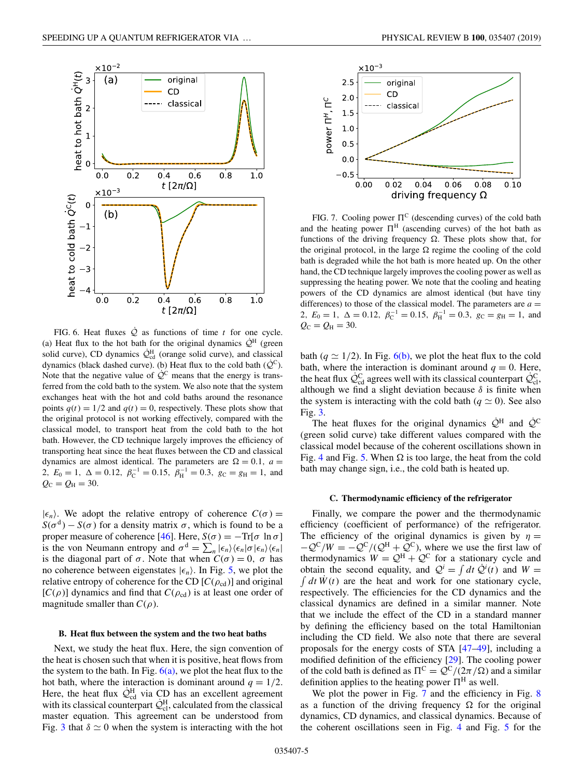

FIG. 6. Heat fluxes  $\dot{Q}$  as functions of time *t* for one cycle. (a) Heat flux to the hot bath for the original dynamics  $\dot{Q}^H$  (green solid curve), CD dynamics  $\dot{Q}_{\text{cd}}^{\text{H}}$  (orange solid curve), and classical dynamics (black dashed curve). (b) Heat flux to the cold bath  $(\dot{Q}^C)$ . Note that the negative value of  $\mathcal{Q}^C$  means that the energy is transferred from the cold bath to the system. We also note that the system exchanges heat with the hot and cold baths around the resonance points  $q(t) = 1/2$  and  $q(t) = 0$ , respectively. These plots show that the original protocol is not working effectively, compared with the classical model, to transport heat from the cold bath to the hot bath. However, the CD technique largely improves the efficiency of transporting heat since the heat fluxes between the CD and classical dynamics are almost identical. The parameters are  $\Omega = 0.1$ ,  $a =$ 2,  $E_0 = 1$ ,  $\Delta = 0.12$ ,  $\beta_C^{-1} = 0.15$ ,  $\beta_H^{-1} = 0.3$ ,  $g_C = g_H = 1$ , and  $Q_{\rm C} = Q_{\rm H} = 30.$ 

 $|\epsilon_n\rangle$ . We adopt the relative entropy of coherence  $C(\sigma)$  =  $S(\sigma^d) - S(\sigma)$  for a density matrix  $\sigma$ , which is found to be a proper measure of coherence [\[46\]](#page-7-0). Here,  $S(\sigma) = -\text{Tr}[\sigma \ln \sigma]$ is the von Neumann entropy and  $\sigma^d = \sum_n |\epsilon_n\rangle \langle \epsilon_n | \sigma | \epsilon_n \rangle \langle \epsilon_n |$ is the diagonal part of  $\sigma$ . Note that when  $C(\sigma) = 0$ ,  $\sigma$  has no coherence between eigenstates  $|\epsilon_n\rangle$ . In Fig. [5,](#page-3-0) we plot the relative entropy of coherence for the CD  $[C(\rho_{cd})]$  and original  $[C(\rho)]$  dynamics and find that  $C(\rho_{cd})$  is at least one order of magnitude smaller than  $C(\rho)$ .

#### **B. Heat flux between the system and the two heat baths**

Next, we study the heat flux. Here, the sign convention of the heat is chosen such that when it is positive, heat flows from the system to the bath. In Fig.  $6(a)$ , we plot the heat flux to the hot bath, where the interaction is dominant around  $q = 1/2$ . Here, the heat flux  $\dot{Q}_{cd}^{\text{H}}$  via CD has an excellent agreement with its classical counterpart  $\dot{Q}_{cl}^{\text{H}}$ , calculated from the classical master equation. This agreement can be understood from Fig. [3](#page-3-0) that  $\delta \simeq 0$  when the system is interacting with the hot



FIG. 7. Cooling power  $\Pi^C$  (descending curves) of the cold bath and the heating power  $\Pi^H$  (ascending curves) of the hot bath as functions of the driving frequency  $\Omega$ . These plots show that, for the original protocol, in the large  $\Omega$  regime the cooling of the cold bath is degraded while the hot bath is more heated up. On the other hand, the CD technique largely improves the cooling power as well as suppressing the heating power. We note that the cooling and heating powers of the CD dynamics are almost identical (but have tiny differences) to those of the classical model. The parameters are  $a =$ 2,  $E_0 = 1$ ,  $\Delta = 0.12$ ,  $\beta_C^{-1} = 0.15$ ,  $\beta_H^{-1} = 0.3$ ,  $g_C = g_H = 1$ , and  $Q_{C} = Q_{H} = 30.$ 

bath ( $q \approx 1/2$ ). In Fig. 6(b), we plot the heat flux to the cold bath, where the interaction is dominant around  $q = 0$ . Here, the heat flux  $\dot{Q}_{cd}^C$  agrees well with its classical counterpart  $\dot{Q}_{cl}^C$ , although we find a slight deviation because  $\delta$  is finite when the system is interacting with the cold bath ( $q \simeq 0$ ). See also Fig. [3.](#page-3-0)

The heat fluxes for the original dynamics  $\dot{Q}^H$  and  $\dot{Q}^C$ (green solid curve) take different values compared with the classical model because of the coherent oscillations shown in Fig. [4](#page-3-0) and Fig. [5.](#page-3-0) When  $\Omega$  is too large, the heat from the cold bath may change sign, i.e., the cold bath is heated up.

#### **C. Thermodynamic efficiency of the refrigerator**

Finally, we compare the power and the thermodynamic efficiency (coefficient of performance) of the refrigerator. The efficiency of the original dynamics is given by  $\eta =$  $-Q^{C}/W = -Q^{C}/(Q^{H} + Q^{C})$ , where we use the first law of thermodynamics  $W = Q^H + Q^C$  for a stationary cycle and obtain the second equality, and  $Q^i = \int dt \ Q^i(t)$  and  $W =$  $\int dt \, \dot{W}(t)$  are the heat and work for one stationary cycle, respectively. The efficiencies for the CD dynamics and the classical dynamics are defined in a similar manner. Note that we include the effect of the CD in a standard manner by defining the efficiency based on the total Hamiltonian including the CD field. We also note that there are several proposals for the energy costs of STA [\[47–49\]](#page-7-0), including a modified definition of the efficiency [\[29\]](#page-6-0). The cooling power of the cold bath is defined as  $\Pi^C = Q^C/(2\pi/\Omega)$  and a similar definition applies to the heating power  $\Pi^H$  as well.

We plot the power in Fig. 7 and the efficiency in Fig. [8](#page-5-0) as a function of the driving frequency  $\Omega$  for the original dynamics, CD dynamics, and classical dynamics. Because of the coherent oscillations seen in Fig. [4](#page-3-0) and Fig. [5](#page-3-0) for the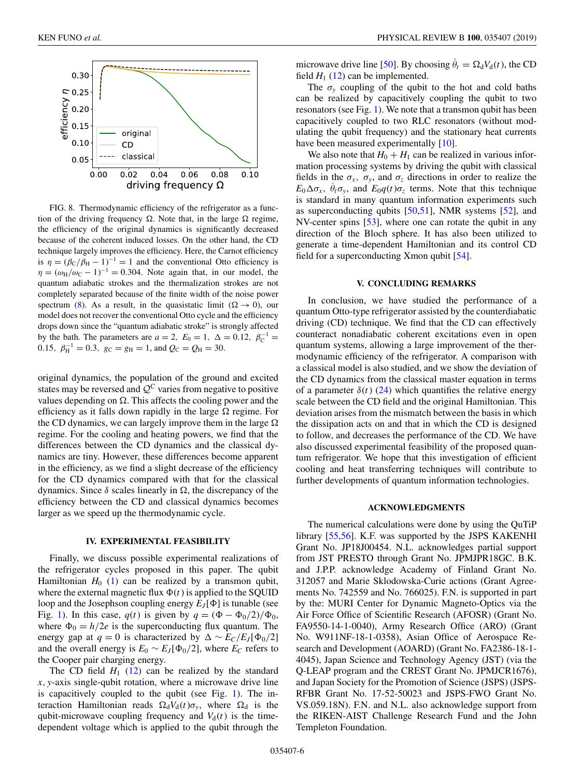<span id="page-5-0"></span>

FIG. 8. Thermodynamic efficiency of the refrigerator as a function of the driving frequency  $\Omega$ . Note that, in the large  $\Omega$  regime, the efficiency of the original dynamics is significantly decreased because of the coherent induced losses. On the other hand, the CD technique largely improves the efficiency. Here, the Carnot efficiency is  $\eta = (\beta_C/\beta_H - 1)^{-1} = 1$  and the conventional Otto efficiency is  $\eta = (\omega_H/\omega_C - 1)^{-1} = 0.304$ . Note again that, in our model, the quantum adiabatic strokes and the thermalization strokes are not completely separated because of the finite width of the noise power spectrum [\(8\)](#page-2-0). As a result, in the quasistatic limit ( $\Omega \rightarrow 0$ ), our model does not recover the conventional Otto cycle and the efficiency drops down since the "quantum adiabatic stroke" is strongly affected by the bath. The parameters are  $a = 2$ ,  $E_0 = 1$ ,  $\Delta = 0.12$ ,  $\beta_C^{-1} =$ 0.15,  $\beta_{\text{H}}^{-1} = 0.3$ ,  $g_{\text{C}} = g_{\text{H}} = 1$ , and  $Q_{\text{C}} = Q_{\text{H}} = 30$ .

original dynamics, the population of the ground and excited states may be reversed and  $Q^C$  varies from negative to positive values depending on  $\Omega$ . This affects the cooling power and the efficiency as it falls down rapidly in the large  $\Omega$  regime. For the CD dynamics, we can largely improve them in the large  $\Omega$ regime. For the cooling and heating powers, we find that the differences between the CD dynamics and the classical dynamics are tiny. However, these differences become apparent in the efficiency, as we find a slight decrease of the efficiency for the CD dynamics compared with that for the classical dynamics. Since  $\delta$  scales linearly in  $\Omega$ , the discrepancy of the efficiency between the CD and classical dynamics becomes larger as we speed up the thermodynamic cycle.

#### **IV. EXPERIMENTAL FEASIBILITY**

Finally, we discuss possible experimental realizations of the refrigerator cycles proposed in this paper. The qubit Hamiltonian  $H_0$  [\(1\)](#page-1-0) can be realized by a transmon qubit, where the external magnetic flux  $\Phi(t)$  is applied to the SQUID loop and the Josephson coupling energy  $E_J[\Phi]$  is tunable (see Fig. [1\)](#page-1-0). In this case,  $q(t)$  is given by  $q = (\Phi - \Phi_0/2)/\Phi_0$ , where  $\Phi_0 = h/2e$  is the superconducting flux quantum. The energy gap at  $q = 0$  is characterized by  $\Delta \sim E_C/E_J[\Phi_0/2]$ and the overall energy is  $E_0 \sim E_J[\Phi_0/2]$ , where  $E_C$  refers to the Cooper pair charging energy.

The CD field  $H_1$  [\(12\)](#page-2-0) can be realized by the standard *x*, *y*-axis single-qubit rotation, where a microwave drive line is capacitively coupled to the qubit (see Fig. [1\)](#page-1-0). The interaction Hamiltonian reads  $\Omega_d V_d(t) \sigma_v$ , where  $\Omega_d$  is the qubit-microwave coupling frequency and  $V<sub>d</sub>(t)$  is the timedependent voltage which is applied to the qubit through the

microwave drive line [\[50\]](#page-7-0). By choosing  $\dot{\theta}_t = \Omega_d V_d(t)$ , the CD field  $H_1$  [\(12\)](#page-2-0) can be implemented.

The  $\sigma_v$  coupling of the qubit to the hot and cold baths can be realized by capacitively coupling the qubit to two resonators (see Fig. [1\)](#page-1-0). We note that a transmon qubit has been capacitively coupled to two RLC resonators (without modulating the qubit frequency) and the stationary heat currents have been measured experimentally [\[10\]](#page-6-0).

We also note that  $H_0 + H_1$  can be realized in various information processing systems by driving the qubit with classical fields in the  $\sigma_x$ ,  $\sigma_y$ , and  $\sigma_z$  directions in order to realize the  $E_0 \Delta \sigma_x$ ,  $\dot{\theta}_t \sigma_y$ , and  $E_0 q(t) \sigma_z$  terms. Note that this technique is standard in many quantum information experiments such as superconducting qubits  $[50,51]$ , NMR systems  $[52]$ , and NV-center spins [\[53\]](#page-7-0), where one can rotate the qubit in any direction of the Bloch sphere. It has also been utilized to generate a time-dependent Hamiltonian and its control CD field for a superconducting Xmon qubit [\[54\]](#page-7-0).

## **V. CONCLUDING REMARKS**

In conclusion, we have studied the performance of a quantum Otto-type refrigerator assisted by the counterdiabatic driving (CD) technique. We find that the CD can effectively counteract nonadiabatic coherent excitations even in open quantum systems, allowing a large improvement of the thermodynamic efficiency of the refrigerator. A comparison with a classical model is also studied, and we show the deviation of the CD dynamics from the classical master equation in terms of a parameter  $\delta(t)$  [\(24\)](#page-3-0) which quantifies the relative energy scale between the CD field and the original Hamiltonian. This deviation arises from the mismatch between the basis in which the dissipation acts on and that in which the CD is designed to follow, and decreases the performance of the CD. We have also discussed experimental feasibility of the proposed quantum refrigerator. We hope that this investigation of efficient cooling and heat transferring techniques will contribute to further developments of quantum information technologies.

#### **ACKNOWLEDGMENTS**

The numerical calculations were done by using the QuTiP library [\[55,56\]](#page-7-0). K.F. was supported by the JSPS KAKENHI Grant No. JP18J00454. N.L. acknowledges partial support from JST PRESTO through Grant No. JPMJPR18GC. B.K. and J.P.P. acknowledge Academy of Finland Grant No. 312057 and Marie Sklodowska-Curie actions (Grant Agreements No. 742559 and No. 766025). F.N. is supported in part by the: MURI Center for Dynamic Magneto-Optics via the Air Force Office of Scientific Research (AFOSR) (Grant No. FA9550-14-1-0040), Army Research Office (ARO) (Grant No. W911NF-18-1-0358), Asian Office of Aerospace Research and Development (AOARD) (Grant No. FA2386-18-1- 4045), Japan Science and Technology Agency (JST) (via the Q-LEAP program and the CREST Grant No. JPMJCR1676), and Japan Society for the Promotion of Science (JSPS) (JSPS-RFBR Grant No. 17-52-50023 and JSPS-FWO Grant No. VS.059.18N). F.N. and N.L. also acknowledge support from the RIKEN-AIST Challenge Research Fund and the John Templeton Foundation.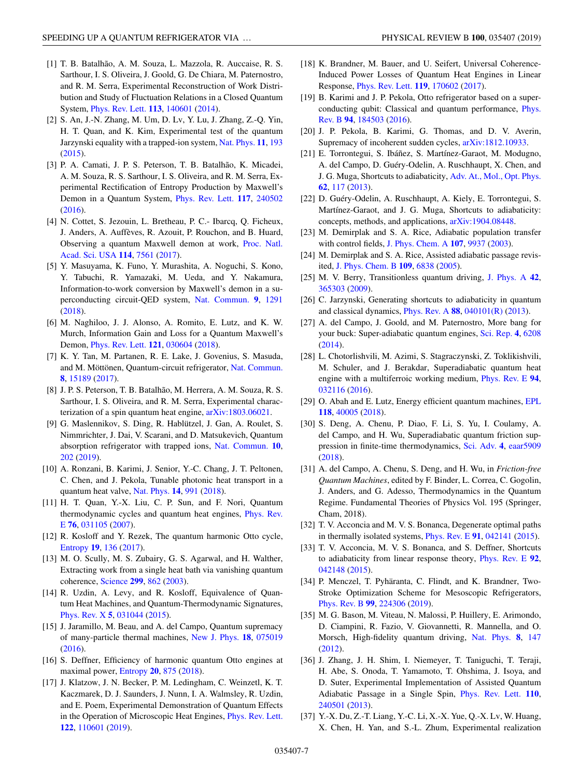- <span id="page-6-0"></span>[1] T. B. Batalhão, A. M. Souza, L. Mazzola, R. Auccaise, R. S. Sarthour, I. S. Oliveira, J. Goold, G. De Chiara, M. Paternostro, and R. M. Serra, Experimental Reconstruction of Work Distribution and Study of Fluctuation Relations in a Closed Quantum System, [Phys. Rev. Lett.](https://doi.org/10.1103/PhysRevLett.113.140601) **[113](https://doi.org/10.1103/PhysRevLett.113.140601)**, [140601](https://doi.org/10.1103/PhysRevLett.113.140601) [\(2014\)](https://doi.org/10.1103/PhysRevLett.113.140601).
- [2] S. An, J.-N. Zhang, M. Um, D. Lv, Y. Lu, J. Zhang, Z.-Q. Yin, H. T. Quan, and K. Kim, Experimental test of the quantum Jarzynski equality with a trapped-ion system, [Nat. Phys.](https://doi.org/10.1038/nphys3197) **[11](https://doi.org/10.1038/nphys3197)**, [193](https://doi.org/10.1038/nphys3197) [\(2015\)](https://doi.org/10.1038/nphys3197).
- [3] P. A. Camati, J. P. S. Peterson, T. B. Batalhão, K. Micadei, A. M. Souza, R. S. Sarthour, I. S. Oliveira, and R. M. Serra, Experimental Rectification of Entropy Production by Maxwell's Demon in a Quantum System, [Phys. Rev. Lett.](https://doi.org/10.1103/PhysRevLett.117.240502) **[117](https://doi.org/10.1103/PhysRevLett.117.240502)**, [240502](https://doi.org/10.1103/PhysRevLett.117.240502) [\(2016\)](https://doi.org/10.1103/PhysRevLett.117.240502).
- [4] N. Cottet, S. Jezouin, L. Bretheau, P. C.- Ibarcq, Q. Ficheux, J. Anders, A. Auffèves, R. Azouit, P. Rouchon, and B. Huard, [Observing a quantum Maxwell demon at work,](https://doi.org/10.1073/pnas.1704827114) Proc. Natl. Acad. Sci. USA **[114](https://doi.org/10.1073/pnas.1704827114)**, [7561](https://doi.org/10.1073/pnas.1704827114) [\(2017\)](https://doi.org/10.1073/pnas.1704827114).
- [5] Y. Masuyama, K. Funo, Y. Murashita, A. Noguchi, S. Kono, Y. Tabuchi, R. Yamazaki, M. Ueda, and Y. Nakamura, Information-to-work conversion by Maxwell's demon in a superconducting circuit-QED system, [Nat. Commun.](https://doi.org/10.1038/s41467-018-03686-y) **[9](https://doi.org/10.1038/s41467-018-03686-y)**, [1291](https://doi.org/10.1038/s41467-018-03686-y) [\(2018\)](https://doi.org/10.1038/s41467-018-03686-y).
- [6] M. Naghiloo, J. J. Alonso, A. Romito, E. Lutz, and K. W. Murch, Information Gain and Loss for a Quantum Maxwell's Demon, [Phys. Rev. Lett.](https://doi.org/10.1103/PhysRevLett.121.030604) **[121](https://doi.org/10.1103/PhysRevLett.121.030604)**, [030604](https://doi.org/10.1103/PhysRevLett.121.030604) [\(2018\)](https://doi.org/10.1103/PhysRevLett.121.030604).
- [7] K. Y. Tan, M. Partanen, R. E. Lake, J. Govenius, S. Masuda, and M. Möttönen, Quantum-circuit refrigerator, [Nat. Commun.](https://doi.org/10.1038/ncomms15189) **[8](https://doi.org/10.1038/ncomms15189)**, [15189](https://doi.org/10.1038/ncomms15189) [\(2017\)](https://doi.org/10.1038/ncomms15189).
- [8] J. P. S. Peterson, T. B. Batalhão, M. Herrera, A. M. Souza, R. S. Sarthour, I. S. Oliveira, and R. M. Serra, Experimental characterization of a spin quantum heat engine, [arXiv:1803.06021.](http://arxiv.org/abs/arXiv:1803.06021)
- [9] G. Maslennikov, S. Ding, R. Hablützel, J. Gan, A. Roulet, S. Nimmrichter, J. Dai, V. Scarani, and D. Matsukevich, Quantum absorption refrigerator with trapped ions, [Nat. Commun.](https://doi.org/10.1038/s41467-018-08090-0) **[10](https://doi.org/10.1038/s41467-018-08090-0)**, [202](https://doi.org/10.1038/s41467-018-08090-0) [\(2019\)](https://doi.org/10.1038/s41467-018-08090-0).
- [10] A. Ronzani, B. Karimi, J. Senior, Y.-C. Chang, J. T. Peltonen, C. Chen, and J. Pekola, Tunable photonic heat transport in a quantum heat valve, [Nat. Phys.](https://doi.org/10.1038/s41567-018-0199-4) **[14](https://doi.org/10.1038/s41567-018-0199-4)**, [991](https://doi.org/10.1038/s41567-018-0199-4) [\(2018\)](https://doi.org/10.1038/s41567-018-0199-4).
- [11] H. T. Quan, Y.-X. Liu, C. P. Sun, and F. Nori, Quantum [thermodynamic cycles and quantum heat engines,](https://doi.org/10.1103/PhysRevE.76.031105) Phys. Rev. E **[76](https://doi.org/10.1103/PhysRevE.76.031105)**, [031105](https://doi.org/10.1103/PhysRevE.76.031105) [\(2007\)](https://doi.org/10.1103/PhysRevE.76.031105).
- [12] R. Kosloff and Y. Rezek, The quantum harmonic Otto cycle, [Entropy](https://doi.org/10.3390/e19040136) **[19](https://doi.org/10.3390/e19040136)**, [136](https://doi.org/10.3390/e19040136) [\(2017\)](https://doi.org/10.3390/e19040136).
- [13] M. O. Scully, M. S. Zubairy, G. S. Agarwal, and H. Walther, Extracting work from a single heat bath via vanishing quantum coherence, [Science](https://doi.org/10.1126/science.1078955) **[299](https://doi.org/10.1126/science.1078955)**, [862](https://doi.org/10.1126/science.1078955) [\(2003\)](https://doi.org/10.1126/science.1078955).
- [14] R. Uzdin, A. Levy, and R. Kosloff, Equivalence of Quantum Heat Machines, and Quantum-Thermodynamic Signatures, [Phys. Rev. X](https://doi.org/10.1103/PhysRevX.5.031044) **[5](https://doi.org/10.1103/PhysRevX.5.031044)**, [031044](https://doi.org/10.1103/PhysRevX.5.031044) [\(2015\)](https://doi.org/10.1103/PhysRevX.5.031044).
- [15] J. Jaramillo, M. Beau, and A. del Campo, Quantum supremacy of many-particle thermal machines, [New J. Phys.](https://doi.org/10.1088/1367-2630/18/7/075019) **[18](https://doi.org/10.1088/1367-2630/18/7/075019)**, [075019](https://doi.org/10.1088/1367-2630/18/7/075019) [\(2016\)](https://doi.org/10.1088/1367-2630/18/7/075019).
- [16] S. Deffner, Efficiency of harmonic quantum Otto engines at maximal power, [Entropy](https://doi.org/10.3390/e20110875) **[20](https://doi.org/10.3390/e20110875)**, [875](https://doi.org/10.3390/e20110875) [\(2018\)](https://doi.org/10.3390/e20110875).
- [17] J. Klatzow, J. N. Becker, P. M. Ledingham, C. Weinzetl, K. T. Kaczmarek, D. J. Saunders, J. Nunn, I. A. Walmsley, R. Uzdin, and E. Poem, Experimental Demonstration of Quantum Effects in the Operation of Microscopic Heat Engines, [Phys. Rev. Lett.](https://doi.org/10.1103/PhysRevLett.122.110601) **[122](https://doi.org/10.1103/PhysRevLett.122.110601)**, [110601](https://doi.org/10.1103/PhysRevLett.122.110601) [\(2019\)](https://doi.org/10.1103/PhysRevLett.122.110601).
- [18] K. Brandner, M. Bauer, and U. Seifert, Universal Coherence-Induced Power Losses of Quantum Heat Engines in Linear Response, [Phys. Rev. Lett.](https://doi.org/10.1103/PhysRevLett.119.170602) **[119](https://doi.org/10.1103/PhysRevLett.119.170602)**, [170602](https://doi.org/10.1103/PhysRevLett.119.170602) [\(2017\)](https://doi.org/10.1103/PhysRevLett.119.170602).
- [19] B. Karimi and J. P. Pekola, Otto refrigerator based on a super[conducting qubit: Classical and quantum performance,](https://doi.org/10.1103/PhysRevB.94.184503) Phys. Rev. B **[94](https://doi.org/10.1103/PhysRevB.94.184503)**, [184503](https://doi.org/10.1103/PhysRevB.94.184503) [\(2016\)](https://doi.org/10.1103/PhysRevB.94.184503).
- [20] J. P. Pekola, B. Karimi, G. Thomas, and D. V. Averin, Supremacy of incoherent sudden cycles, [arXiv:1812.10933.](http://arxiv.org/abs/arXiv:1812.10933)
- [21] E. Torrontegui, S. Ibáñez, S. Martínez-Garaot, M. Modugno, A. del Campo, D. Guéry-Odelin, A. Ruschhaupt, X. Chen, and J. G. Muga, Shortcuts to adiabaticity, [Adv. At., Mol., Opt. Phys.](https://doi.org/10.1016/B978-0-12-408090-4.00002-5) **[62](https://doi.org/10.1016/B978-0-12-408090-4.00002-5)**, [117](https://doi.org/10.1016/B978-0-12-408090-4.00002-5) [\(2013\)](https://doi.org/10.1016/B978-0-12-408090-4.00002-5).
- [22] D. Guéry-Odelin, A. Ruschhaupt, A. Kiely, E. Torrontegui, S. Martínez-Garaot, and J. G. Muga, Shortcuts to adiabaticity: concepts, methods, and applications, [arXiv:1904.08448.](http://arxiv.org/abs/arXiv:1904.08448)
- [23] M. Demirplak and S. A. Rice, Adiabatic population transfer with control fields, [J. Phys. Chem. A](https://doi.org/10.1021/jp030708a) **[107](https://doi.org/10.1021/jp030708a)**, [9937](https://doi.org/10.1021/jp030708a) [\(2003\)](https://doi.org/10.1021/jp030708a).
- [24] M. Demirplak and S. A. Rice, Assisted adiabatic passage revisited, [J. Phys. Chem. B](https://doi.org/10.1021/jp040647w) **[109](https://doi.org/10.1021/jp040647w)**, [6838](https://doi.org/10.1021/jp040647w) [\(2005\)](https://doi.org/10.1021/jp040647w).
- [25] M. V. Berry, Transitionless quantum driving, [J. Phys. A](https://doi.org/10.1088/1751-8113/42/36/365303) **[42](https://doi.org/10.1088/1751-8113/42/36/365303)**, [365303](https://doi.org/10.1088/1751-8113/42/36/365303) [\(2009\)](https://doi.org/10.1088/1751-8113/42/36/365303).
- [26] C. Jarzynski, Generating shortcuts to adiabaticity in quantum and classical dynamics, [Phys. Rev. A](https://doi.org/10.1103/PhysRevA.88.040101) **[88](https://doi.org/10.1103/PhysRevA.88.040101)**, [040101\(R\)](https://doi.org/10.1103/PhysRevA.88.040101) [\(2013\)](https://doi.org/10.1103/PhysRevA.88.040101).
- [27] A. del Campo, J. Goold, and M. Paternostro, More bang for your buck: Super-adiabatic quantum engines, [Sci. Rep.](https://doi.org/10.1038/srep06208) **[4](https://doi.org/10.1038/srep06208)**, [6208](https://doi.org/10.1038/srep06208) [\(2014\)](https://doi.org/10.1038/srep06208).
- [28] L. Chotorlishvili, M. Azimi, S. Stagraczynski, Z. Toklikishvili, M. Schuler, and J. Berakdar, Superadiabatic quantum heat engine with a multiferroic working medium, [Phys. Rev. E](https://doi.org/10.1103/PhysRevE.94.032116) **[94](https://doi.org/10.1103/PhysRevE.94.032116)**, [032116](https://doi.org/10.1103/PhysRevE.94.032116) [\(2016\)](https://doi.org/10.1103/PhysRevE.94.032116).
- [29] O. Abah and E. Lutz, Energy efficient quantum machines, [EPL](https://doi.org/10.1209/0295-5075/118/40005) **[118](https://doi.org/10.1209/0295-5075/118/40005)**, [40005](https://doi.org/10.1209/0295-5075/118/40005) [\(2018\)](https://doi.org/10.1209/0295-5075/118/40005).
- [30] S. Deng, A. Chenu, P. Diao, F. Li, S. Yu, I. Coulamy, A. del Campo, and H. Wu, Superadiabatic quantum friction suppression in finite-time thermodynamics, [Sci. Adv.](https://doi.org/10.1126/sciadv.aar5909) **[4](https://doi.org/10.1126/sciadv.aar5909)**, [eaar5909](https://doi.org/10.1126/sciadv.aar5909) [\(2018\)](https://doi.org/10.1126/sciadv.aar5909).
- [31] A. del Campo, A. Chenu, S. Deng, and H. Wu, in *Friction-free Quantum Machines*, edited by F. Binder, L. Correa, C. Gogolin, J. Anders, and G. Adesso, Thermodynamics in the Quantum Regime. Fundamental Theories of Physics Vol. 195 (Springer, Cham, 2018).
- [32] T. V. Acconcia and M. V. S. Bonanca, Degenerate optimal paths in thermally isolated systems, [Phys. Rev. E](https://doi.org/10.1103/PhysRevE.91.042141) **[91](https://doi.org/10.1103/PhysRevE.91.042141)**, [042141](https://doi.org/10.1103/PhysRevE.91.042141) [\(2015\)](https://doi.org/10.1103/PhysRevE.91.042141).
- [33] T. V. Acconcia, M. V. S. Bonanca, and S. Deffner, Shortcuts to adiabaticity from linear response theory, [Phys. Rev. E](https://doi.org/10.1103/PhysRevE.92.042148) **[92](https://doi.org/10.1103/PhysRevE.92.042148)**, [042148](https://doi.org/10.1103/PhysRevE.92.042148) [\(2015\)](https://doi.org/10.1103/PhysRevE.92.042148).
- [34] P. Menczel, T. Pyhäranta, C. Flindt, and K. Brandner, Two-Stroke Optimization Scheme for Mesoscopic Refrigerators, [Phys. Rev. B](https://doi.org/10.1103/PhysRevB.99.224306) **[99](https://doi.org/10.1103/PhysRevB.99.224306)**, [224306](https://doi.org/10.1103/PhysRevB.99.224306) [\(2019\)](https://doi.org/10.1103/PhysRevB.99.224306).
- [35] M. G. Bason, M. Viteau, N. Malossi, P. Huillery, E. Arimondo, D. Ciampini, R. Fazio, V. Giovannetti, R. Mannella, and O. Morsch, High-fidelity quantum driving, [Nat. Phys.](https://doi.org/10.1038/nphys2170) **[8](https://doi.org/10.1038/nphys2170)**, [147](https://doi.org/10.1038/nphys2170) [\(2012\)](https://doi.org/10.1038/nphys2170).
- [36] J. Zhang, J. H. Shim, I. Niemeyer, T. Taniguchi, T. Teraji, H. Abe, S. Onoda, T. Yamamoto, T. Ohshima, J. Isoya, and D. Suter, Experimental Implementation of Assisted Quantum Adiabatic Passage in a Single Spin, [Phys. Rev. Lett.](https://doi.org/10.1103/PhysRevLett.110.240501) **[110](https://doi.org/10.1103/PhysRevLett.110.240501)**, [240501](https://doi.org/10.1103/PhysRevLett.110.240501) [\(2013\)](https://doi.org/10.1103/PhysRevLett.110.240501).
- [37] Y.-X. Du, Z.-T. Liang, Y.-C. Li, X.-X. Yue, Q.-X. Lv, W. Huang, X. Chen, H. Yan, and S.-L. Zhum, Experimental realization